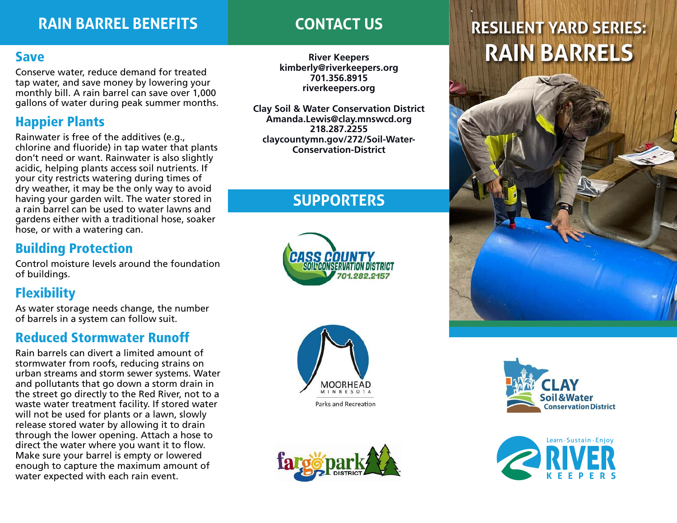## **RAIN BARREL BENEFITS CONTACT US**

## Save

' gallons of water during peak summer months. Conserve water, reduce demand for treated tap water, and save money by lowering your monthly bill. A rain barrel can save over 1,000

## Happier Plants

Rainwater is free of the additives (e.g., chlorine and fluoride) in tap water that plants don't need or want. Rainwater is also slightly acidic, helping plants access soil nutrients. If your city restricts watering during times of dry weather, it may be the only way to avoid having your garden wilt. The water stored in ' a rain barrel can be used to water lawns and gardens either with a traditional hose, soaker hose, or with a watering can.

## Building Protection

Control moisture levels around the foundation of buildings.

## **Flexibility**

As water storage needs change, the number of barrels in a system can follow suit.

### $\frac{1}{2}$ Reduced Stormwater Runoff •

Rain barrels can divert a limited amount of stormwater from roofs, reducing strains on urban streams and storm sewer systems. Water and pollutants that go down a storm drain in and ponditives that go down a storm dram in the street go directly to the Red River, not to a waste water treatment facility. If stored water will not be used for plants or a lawn, slowly • release stored water by allowing it to drain through the lower opening. Attach a hose to direct the water where you want it to flow. Make sure your barrel is empty or lowered enough to capture the maximum amount of water expected with each rain event.

**kimberly@riverkeepers.org 701.356.8915 riverkeepers.org**

**Clay Soil & Water Conservation District Amanda.Lewis@clay.mnswcd.org 218.287.2255 claycountymn.gov/272/Soil-Water-Conservation-District**

## **SUPPORTERS**







# **RESILIENT YARD SERIES: River Keepers RAIN BARRELS**